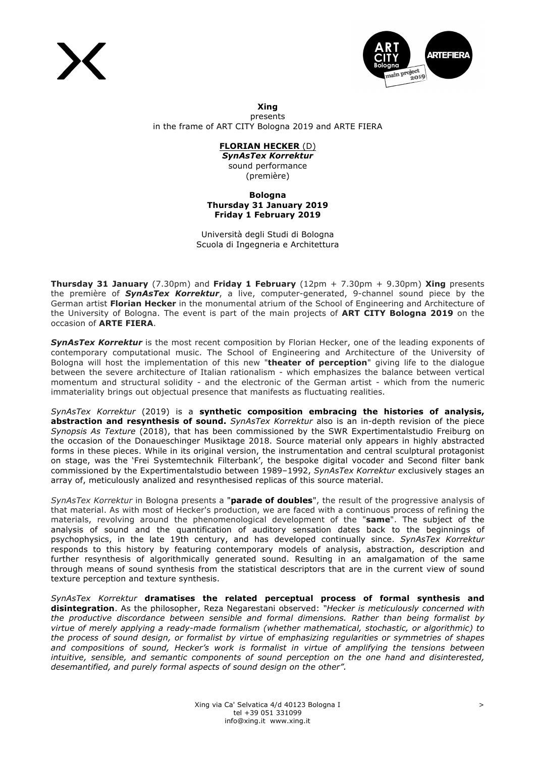



**Xing** presents in the frame of ART CITY Bologna 2019 and ARTE FIERA

# **FLORIAN HECKER** (D)

*SynAsTex Korrektur* sound performance (première)

### **Bologna Thursday 31 January 2019 Friday 1 February 2019**

Università degli Studi di Bologna Scuola di Ingegneria e Architettura

**Thursday 31 January** (7.30pm) and **Friday 1 February** (12pm + 7.30pm + 9.30pm) **Xing** presents the première of *SynAsTex Korrektur*, a live, computer-generated, 9-channel sound piece by the German artist **Florian Hecker** in the monumental atrium of the School of Engineering and Architecture of the University of Bologna. The event is part of the main projects of **ART CITY Bologna 2019** on the occasion of **ARTE FIERA**.

**SynAsTex Korrektur** is the most recent composition by Florian Hecker, one of the leading exponents of contemporary computational music. The School of Engineering and Architecture of the University of Bologna will host the implementation of this new "**theater of perception**" giving life to the dialogue between the severe architecture of Italian rationalism - which emphasizes the balance between vertical momentum and structural solidity - and the electronic of the German artist - which from the numeric immateriality brings out objectual presence that manifests as fluctuating realities.

*SynAsTex Korrektur* (2019) is a **synthetic composition embracing the histories of analysis, abstraction and resynthesis of sound.** *SynAsTex Korrektur* also is an in-depth revision of the piece *Synopsis As Texture* (2018), that has been commissioned by the SWR Expertimentalstudio Freiburg on the occasion of the Donaueschinger Musiktage 2018. Source material only appears in highly abstracted forms in these pieces. While in its original version, the instrumentation and central sculptural protagonist on stage, was the 'Frei Systemtechnik Filterbank', the bespoke digital vocoder and Second filter bank commissioned by the Expertimentalstudio between 1989–1992, *SynAsTex Korrektur* exclusively stages an array of, meticulously analized and resynthesised replicas of this source material.

*SynAsTex Korrektur* in Bologna presents a "**parade of doubles**", the result of the progressive analysis of that material. As with most of Hecker's production, we are faced with a continuous process of refining the materials, revolving around the phenomenological development of the "**same**". The subject of the analysis of sound and the quantification of auditory sensation dates back to the beginnings of psychophysics, in the late 19th century, and has developed continually since. *SynAsTex Korrektur* responds to this history by featuring contemporary models of analysis, abstraction, description and further resynthesis of algorithmically generated sound. Resulting in an amalgamation of the same through means of sound synthesis from the statistical descriptors that are in the current view of sound texture perception and texture synthesis.

*SynAsTex Korrektur* **dramatises the related perceptual process of formal synthesis and disintegration**. As the philosopher, Reza Negarestani observed: *"Hecker is meticulously concerned with the productive discordance between sensible and formal dimensions. Rather than being formalist by virtue of merely applying a ready-made formalism (whether mathematical, stochastic, or algorithmic) to the process of sound design, or formalist by virtue of emphasizing regularities or symmetries of shapes and compositions of sound, Hecker's work is formalist in virtue of amplifying the tensions between intuitive, sensible, and semantic components of sound perception on the one hand and disinterested, desemantified, and purely formal aspects of sound design on the other".*